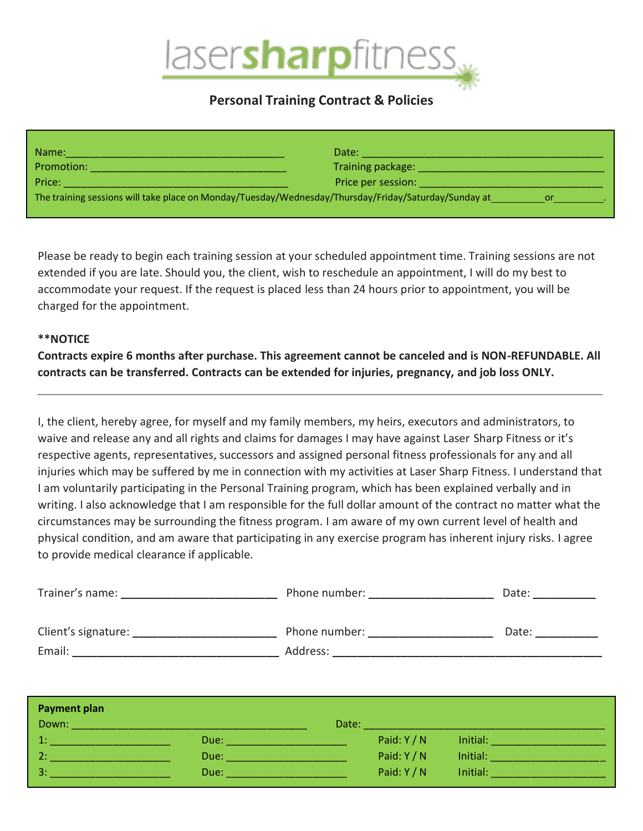

# **Personal Training Contract & Policies**

| Name:      | Date:                                                                                                |
|------------|------------------------------------------------------------------------------------------------------|
| Promotion: | Training package:                                                                                    |
| Price:     | Price per session:                                                                                   |
|            | The training sessions will take place on Monday/Tuesday/Wednesday/Thursday/Friday/Saturday/Sunday at |

Please be ready to begin each training session at your scheduled appointment time. Training sessions are not extended if you are late. Should you, the client, wish to reschedule an appointment, I will do my best to accommodate your request. If the request is placed less than 24 hours prior to appointment, you will be charged for the appointment.

### **\*\*NOTICE**

**Contracts expire 6 months after purchase. This agreement cannot be canceled and is NON-REFUNDABLE. All contracts can be transferred. Contracts can be extended for injuries, pregnancy, and job loss ONLY.**

I, the client, hereby agree, for myself and my family members, my heirs, executors and administrators, to waive and release any and all rights and claims for damages I may have against Laser Sharp Fitness or it's respective agents, representatives, successors and assigned personal fitness professionals for any and all injuries which may be suffered by me in connection with my activities at Laser Sharp Fitness. I understand that I am voluntarily participating in the Personal Training program, which has been explained verbally and in writing. I also acknowledge that I am responsible for the full dollar amount of the contract no matter what the circumstances may be surrounding the fitness program. I am aware of my own current level of health and physical condition, and am aware that participating in any exercise program has inherent injury risks. I agree to provide medical clearance if applicable.

| Trainer's name:     | Phone number: | Date: |  |
|---------------------|---------------|-------|--|
| Client's signature: | Phone number: | Date: |  |
| Email:              | Address:      |       |  |

| <b>Payment plan</b><br>Down: |      | Date:       |          |
|------------------------------|------|-------------|----------|
| 1:                           | Due: | Paid: $Y/N$ | Initial: |
| 2:                           | Due: | Paid: $Y/N$ | Initial: |
| 3:                           | Due: | Paid: $Y/N$ | Initial: |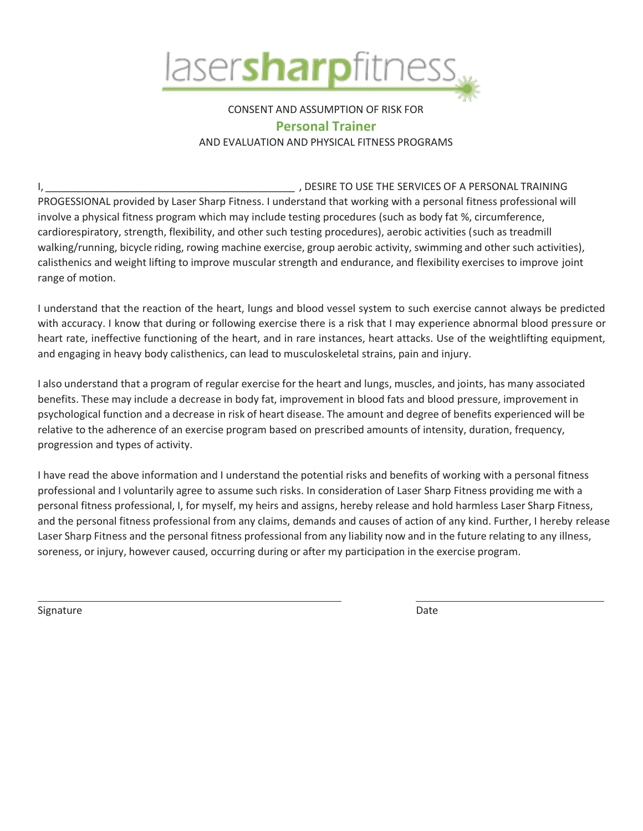

## CONSENT AND ASSUMPTION OF RISK FOR

## **Personal Trainer** AND EVALUATION AND PHYSICAL FITNESS PROGRAMS

### I, \_\_\_\_\_\_\_\_\_\_\_\_\_\_\_\_\_\_\_\_\_\_\_\_\_\_\_\_\_\_\_\_\_\_\_\_\_\_\_\_\_\_\_\_ , DESIRE TO USE THE SERVICES OF A PERSONAL TRAINING

PROGESSIONAL provided by Laser Sharp Fitness. I understand that working with a personal fitness professional will involve a physical fitness program which may include testing procedures (such as body fat %, circumference, cardiorespiratory, strength, flexibility, and other such testing procedures), aerobic activities (such as treadmill walking/running, bicycle riding, rowing machine exercise, group aerobic activity, swimming and other such activities), calisthenics and weight lifting to improve muscular strength and endurance, and flexibility exercises to improve joint range of motion.

I understand that the reaction of the heart, lungs and blood vessel system to such exercise cannot always be predicted with accuracy. I know that during or following exercise there is a risk that I may experience abnormal blood pressure or heart rate, ineffective functioning of the heart, and in rare instances, heart attacks. Use of the weightlifting equipment, and engaging in heavy body calisthenics, can lead to musculoskeletal strains, pain and injury.

I also understand that a program of regular exercise for the heart and lungs, muscles, and joints, has many associated benefits. These may include a decrease in body fat, improvement in blood fats and blood pressure, improvement in psychological function and a decrease in risk of heart disease. The amount and degree of benefits experienced will be relative to the adherence of an exercise program based on prescribed amounts of intensity, duration, frequency, progression and types of activity.

I have read the above information and I understand the potential risks and benefits of working with a personal fitness professional and I voluntarily agree to assume such risks. In consideration of Laser Sharp Fitness providing me with a personal fitness professional, I, for myself, my heirs and assigns, hereby release and hold harmless Laser Sharp Fitness, and the personal fitness professional from any claims, demands and causes of action of any kind. Further, I hereby release Laser Sharp Fitness and the personal fitness professional from any liability now and in the future relating to any illness, soreness, or injury, however caused, occurring during or after my participation in the exercise program.

Signature **Date**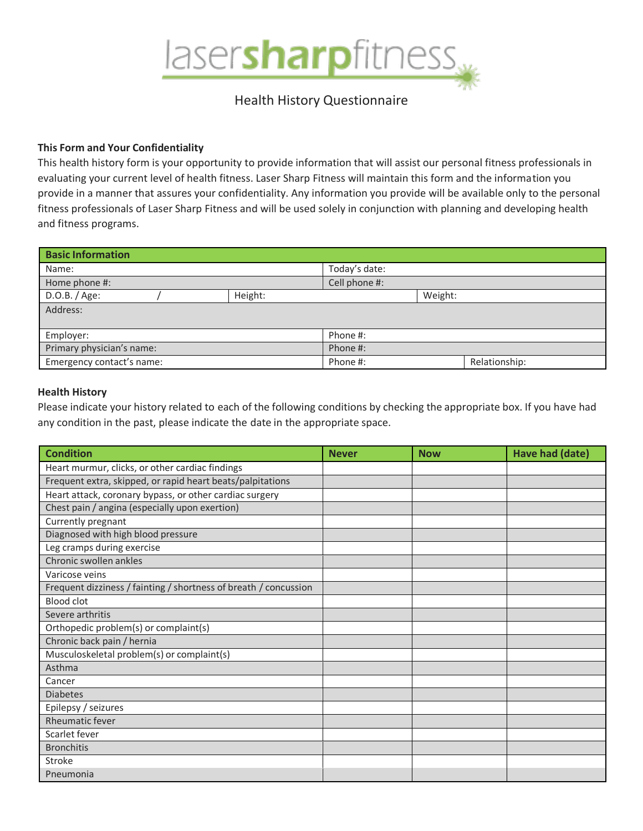

# Health History Questionnaire

### **This Form and Your Confidentiality**

This health history form is your opportunity to provide information that will assist our personal fitness professionals in evaluating your current level of health fitness. Laser Sharp Fitness will maintain this form and the information you provide in a manner that assures your confidentiality. Any information you provide will be available only to the personal fitness professionals of Laser Sharp Fitness and will be used solely in conjunction with planning and developing health and fitness programs.

| <b>Basic Information</b>  |         |               |         |               |  |
|---------------------------|---------|---------------|---------|---------------|--|
| Name:                     |         | Today's date: |         |               |  |
| Home phone #:             |         | Cell phone #: |         |               |  |
| D.O.B. / Age:             | Height: |               | Weight: |               |  |
| Address:                  |         |               |         |               |  |
| Employer:                 |         | Phone #:      |         |               |  |
| Primary physician's name: |         | Phone #:      |         |               |  |
| Emergency contact's name: |         | Phone #:      |         | Relationship: |  |

#### **Health History**

Please indicate your history related to each of the following conditions by checking the appropriate box. If you have had any condition in the past, please indicate the date in the appropriate space.

| <b>Condition</b>                                                 | <b>Never</b> | <b>Now</b> | Have had (date) |
|------------------------------------------------------------------|--------------|------------|-----------------|
| Heart murmur, clicks, or other cardiac findings                  |              |            |                 |
| Frequent extra, skipped, or rapid heart beats/palpitations       |              |            |                 |
| Heart attack, coronary bypass, or other cardiac surgery          |              |            |                 |
| Chest pain / angina (especially upon exertion)                   |              |            |                 |
| Currently pregnant                                               |              |            |                 |
| Diagnosed with high blood pressure                               |              |            |                 |
| Leg cramps during exercise                                       |              |            |                 |
| Chronic swollen ankles                                           |              |            |                 |
| Varicose veins                                                   |              |            |                 |
| Frequent dizziness / fainting / shortness of breath / concussion |              |            |                 |
| <b>Blood clot</b>                                                |              |            |                 |
| Severe arthritis                                                 |              |            |                 |
| Orthopedic problem(s) or complaint(s)                            |              |            |                 |
| Chronic back pain / hernia                                       |              |            |                 |
| Musculoskeletal problem(s) or complaint(s)                       |              |            |                 |
| Asthma                                                           |              |            |                 |
| Cancer                                                           |              |            |                 |
| <b>Diabetes</b>                                                  |              |            |                 |
| Epilepsy / seizures                                              |              |            |                 |
| <b>Rheumatic fever</b>                                           |              |            |                 |
| Scarlet fever                                                    |              |            |                 |
| <b>Bronchitis</b>                                                |              |            |                 |
| Stroke                                                           |              |            |                 |
| Pneumonia                                                        |              |            |                 |